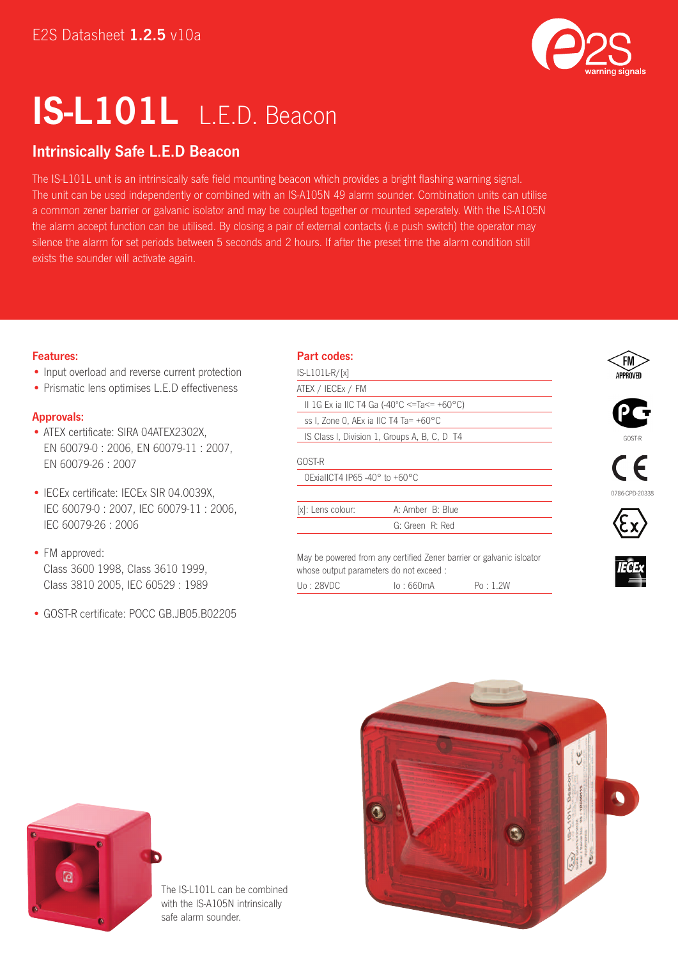

# IS-L101L L.E.D. Beacon

## Intrinsically Safe L.E.D Beacon

The IS-L101L unit is an intrinsically safe field mounting beacon which provides a bright flashing warning signal. The unit can be used independently or combined with an IS-A105N 49 alarm sounder. Combination units can utilise a common zener barrier or galvanic isolator and may be coupled together or mounted seperately. With the IS-A105N the alarm accept function can be utilised. By closing a pair of external contacts (i.e push switch) the operator may silence the alarm for set periods between 5 seconds and 2 hours. If after the preset time the alarm condition still exists the sounder will activate again.

#### Features:

- Input overload and reverse current protection
- Prismatic lens optimises L.E.D effectiveness

#### Approvals:

- ATEX certificate: SIRA 04ATEX2302X, EN 60079-0 : 2006, EN 60079-11 : 2007, EN 60079-26 : 2007
- IECEx certificate: IECEx SIR 04.0039X, IEC 60079-0 : 2007, IEC 60079-11 : 2006, IEC 60079-26 : 2006
- FM approved: Class 3600 1998, Class 3610 1999, Class 3810 2005, IEC 60529 : 1989
- GOST-R certificate: POCC GB.JB05.B02205

### Part codes:

| $IS-L101L$ R/[x]                                   |                                              |    |
|----------------------------------------------------|----------------------------------------------|----|
| ATEX / IECEX / FM                                  |                                              |    |
| II 1G Ex ia IIC T4 Ga (-40°C <=Ta<= +60°C)         |                                              |    |
| ss I, Zone O, AEx ia IIC T4 Ta= +60°C              |                                              |    |
|                                                    | IS Class I, Division 1, Groups A, B, C, D T4 |    |
| GOST-R                                             |                                              |    |
| $OExialICT4$ IP65 -40 $\degree$ to +60 $\degree$ C |                                              |    |
|                                                    |                                              | 07 |
| [x]: Lens colour:                                  | A: Amber B: Blue                             |    |
|                                                    | G: Green R: Red                              |    |
|                                                    |                                              |    |
|                                                    |                                              |    |

May be powered from any certified Zener barrier or galvanic isloator whose output parameters do not exceed : Uo : 28VDC Io : 660mA Po : 1.2W















The IS-L101L can be combined with the IS-A105N intrinsically safe alarm sounder.